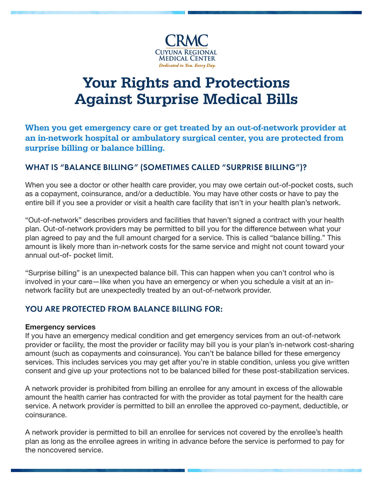

# **Against Surprise Medical Bills** Your Rights and Protections

C: 100 or: an in-network hospital or ambulatory surgical center, you are protected from When you get emergency care or get treated by an out-of-network provider at surprise billing or balance billing.

## WHAT IS "BALANCE BILLING" (SOMETIMES CALLED "SURPRISE BILLING")?

When you see a doctor or other health care provider, you may owe certain out-of-pocket costs, such as a copayment, coinsurance, and/or a deductible. You may have other costs or have to pay the entire bill if you see a provider or visit a health care facility that isn't in your health plan's network.

"Out-of-network" describes providers and facilities that haven't signed a contract with your health plan. Out-of-network providers may be permitted to bill you for the difference between what your plan agreed to pay and the full amount charged for a service. This is called "balance billing." This amount is likely more than in-network costs for the same service and might not count toward your annual out-of- pocket limit.

"Surprise billing" is an unexpected balance bill. This can happen when you can't control who is involved in your care—like when you have an emergency or when you schedule a visit at an innetwork facility but are unexpectedly treated by an out-of-network provider.

## YOU ARE PROTECTED FROM BALANCE BILLING FOR:

#### Emergency services

If you have an emergency medical condition and get emergency services from an out-of-network provider or facility, the most the provider or facility may bill you is your plan's in-network cost-sharing amount (such as copayments and coinsurance). You can't be balance billed for these emergency services. This includes services you may get after you're in stable condition, unless you give written consent and give up your protections not to be balanced billed for these post-stabilization services.

A network provider is prohibited from billing an enrollee for any amount in excess of the allowable amount the health carrier has contracted for with the provider as total payment for the health care service. A network provider is permitted to bill an enrollee the approved co-payment, deductible, or coinsurance.

A network provider is permitted to bill an enrollee for services not covered by the enrollee's health plan as long as the enrollee agrees in writing in advance before the service is performed to pay for the noncovered service.